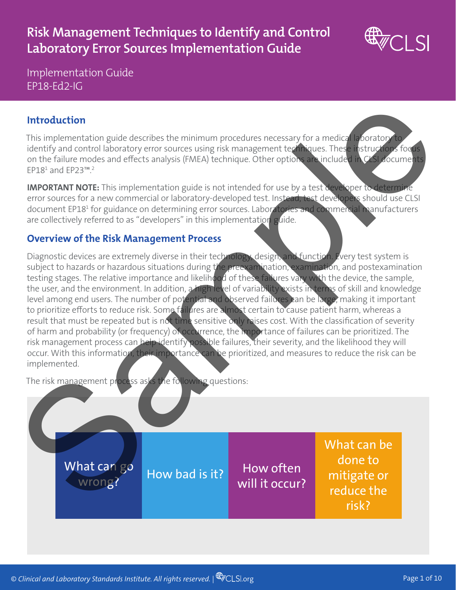# **Risk Management Techniques to Identify and Control Laboratory Error Sources Implementation Guide**



Implementation Guide EP18-Ed2-IG

## **Introduction**

This implementation guide describes the minimum procedures necessary for a medical laboratory to identify and control laboratory error sources using risk management techniques. These instructions focus on the failure modes and effects analysis (FMEA) technique. Other options are included in CLSI documents EP181 and EP23™.2

**IMPORTANT NOTE:** This implementation guide is not intended for use by a test developer to determine error sources for a new commercial or laboratory-developed test. Instead, test developers should use CLSI document EP18<sup>1</sup> for guidance on determining error sources. Laboratories and commercial manufacturers are collectively referred to as "developers" in this implementation guide.

#### **Overview of the Risk Management Process**

Diagnostic devices are extremely diverse in their technology, design, and function. Every test system is subject to hazards or hazardous situations during the preexamination, examination, and postexamination testing stages. The relative importance and likelihood of these failures vary with the device, the sample, the user, and the environment. In addition, a high level of variability exists in terms of skill and knowledge level among end users. The number of potential and observed failures can be large, making it important to prioritize efforts to reduce risk. Some failures are almost certain to cause patient harm, whereas a result that must be repeated but is not time sensitive only raises cost. With the classification of severity of harm and probability (or frequency) of occurrence, the importance of failures can be prioritized. The risk management process can help identify possible failures, their severity, and the likelihood they will occur. With this information, their importance can be prioritized, and measures to reduce the risk can be implemented.

The risk management process asks the following questions: